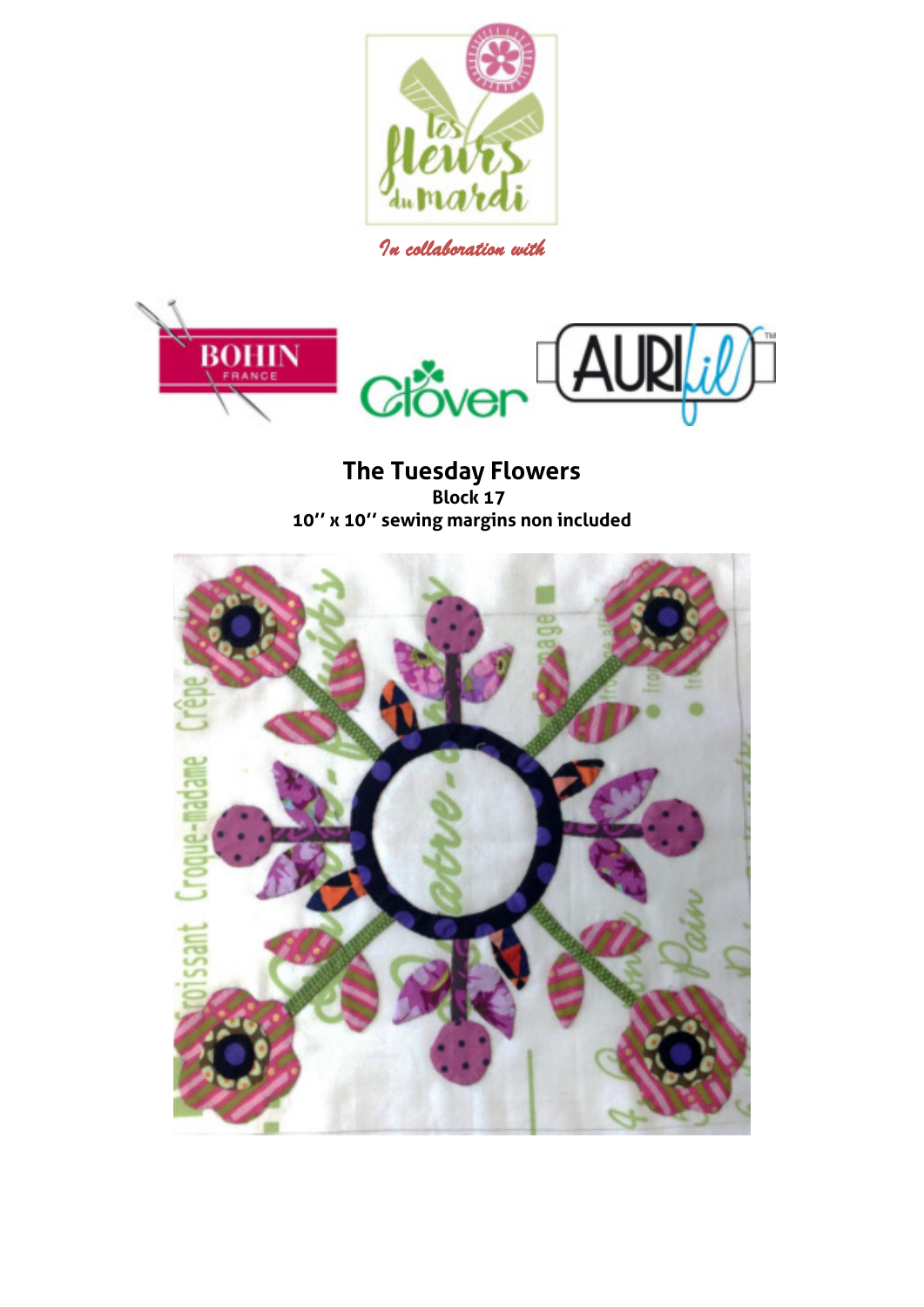

*In collaboration with* 



**The Tuesday Flowers Block 17 10'' x 10'' sewing margins non included** 

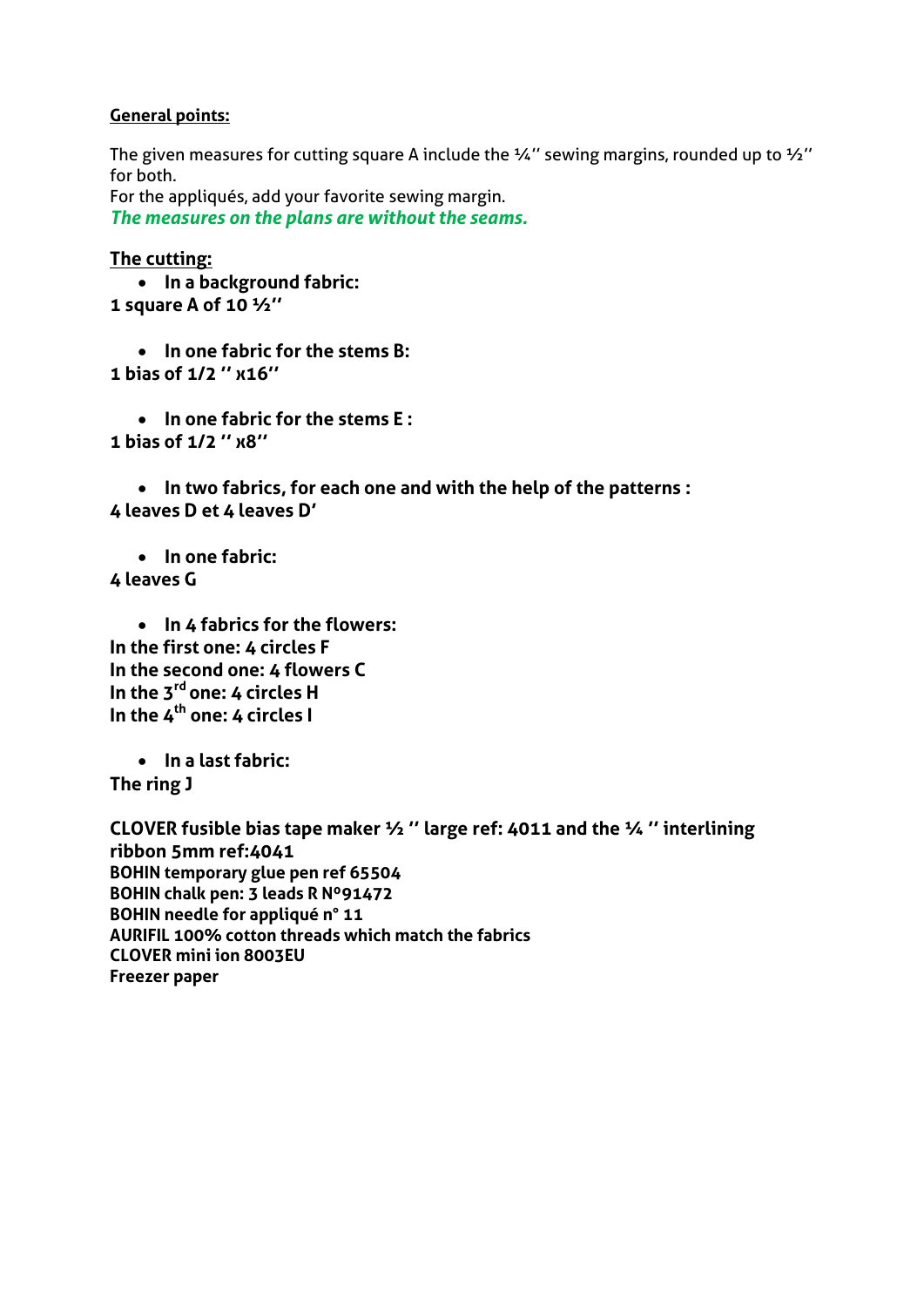## **General points:**

The given measures for cutting square A include the  $\frac{1}{4}$ " sewing margins, rounded up to  $\frac{1}{2}$ " for both.

For the appliqués, add your favorite sewing margin. *The measures on the plans are without the seams.*

## **The cutting:**

 **In a background fabric: 1 square A of 10 ½''**

 **In one fabric for the stems B: 1 bias of 1/2 '' x16''**

 **In one fabric for the stems E : 1 bias of 1/2 '' x8''**

 **In two fabrics, for each one and with the help of the patterns : 4 leaves D et 4 leaves D'**

 **In one fabric: 4 leaves G** 

 **In 4 fabrics for the flowers: In the first one: 4 circles F In the second one: 4 flowers C In the 3rd one: 4 circles H In the 4th one: 4 circles I** 

 **In a last fabric: The ring J** 

**CLOVER fusible bias tape maker ½ '' large ref: 4011 and the ¼ '' interlining ribbon 5mm ref:4041 BOHIN temporary glue pen ref 65504 BOHIN chalk pen: 3 leads R Nº91472 BOHIN needle for appliqué n° 11 AURIFIL 100% cotton threads which match the fabrics CLOVER mini ion 8003EU Freezer paper**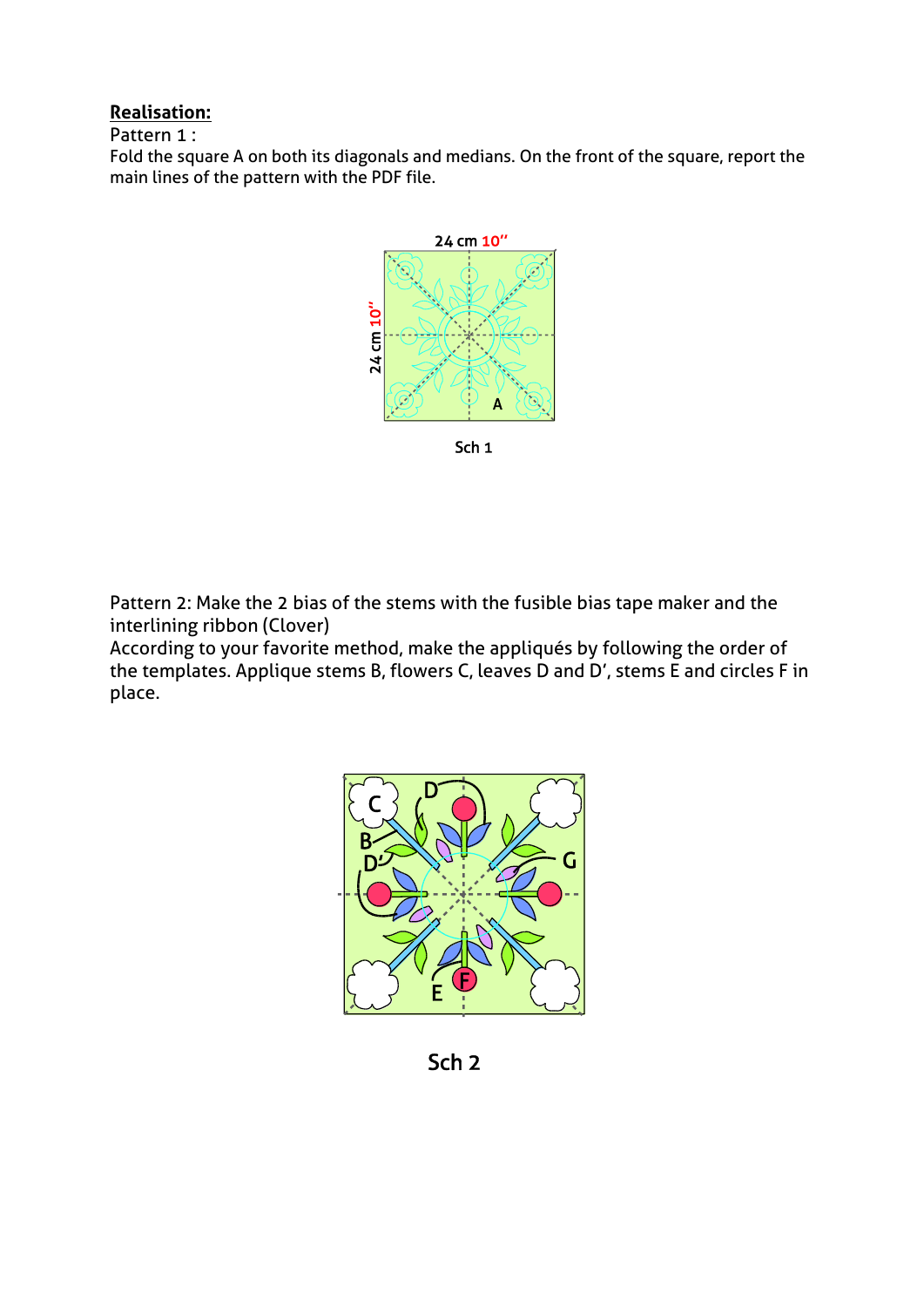## **Realisation:**

Pattern 1 :

Fold the square A on both its diagonals and medians. On the front of the square, report the main lines of the pattern with the PDF file.



Pattern 2: Make the 2 bias of the stems with the fusible bias tape maker and the interlining ribbon (Clover)

According to your favorite method, make the appliqués by following the order of the templates. Applique stems B, flowers C, leaves D and D', stems E and circles F in place.



Sch<sub>2</sub>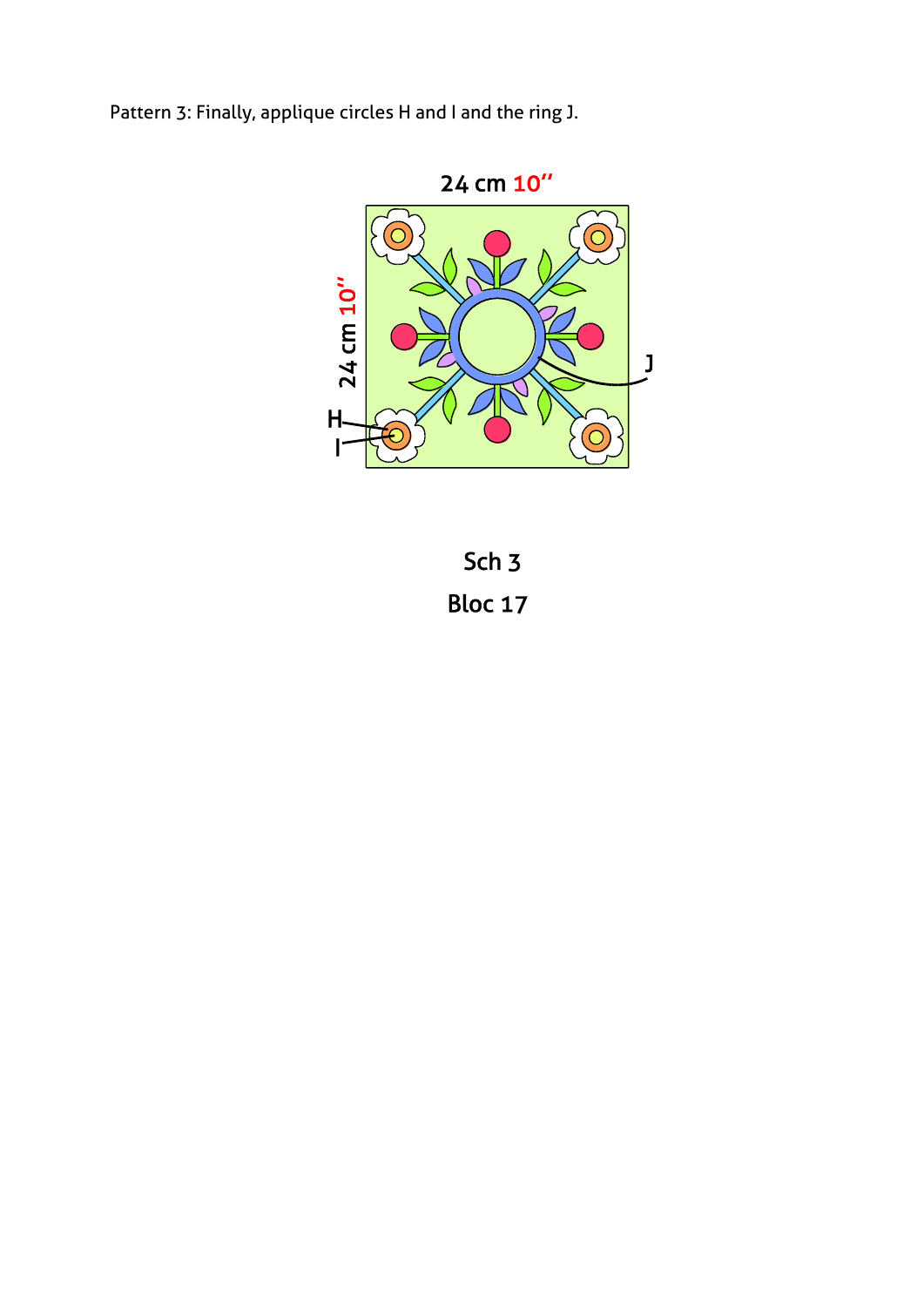Pattern 3: Finally, applique circles H and I and the ring J.



Sch<sub>3</sub> Bloc 17